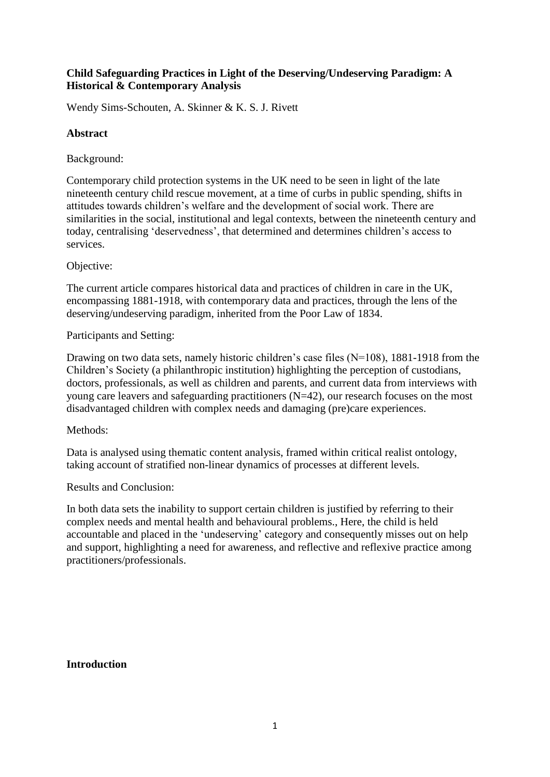# **Child Safeguarding Practices in Light of the Deserving/Undeserving Paradigm: A Historical & Contemporary Analysis**

Wendy Sims-Schouten, A. Skinner & K. S. J. Rivett

# **Abstract**

Background:

Contemporary child protection systems in the UK need to be seen in light of the late nineteenth century child rescue movement, at a time of curbs in public spending, shifts in attitudes towards children's welfare and the development of social work. There are similarities in the social, institutional and legal contexts, between the nineteenth century and today, centralising 'deservedness', that determined and determines children's access to services.

Objective:

The current article compares historical data and practices of children in care in the UK, encompassing 1881-1918, with contemporary data and practices, through the lens of the deserving/undeserving paradigm, inherited from the Poor Law of 1834.

Participants and Setting:

Drawing on two data sets, namely historic children's case files (N=108), 1881-1918 from the Children's Society (a philanthropic institution) highlighting the perception of custodians, doctors, professionals, as well as children and parents, and current data from interviews with young care leavers and safeguarding practitioners (N=42), our research focuses on the most disadvantaged children with complex needs and damaging (pre)care experiences.

Methods:

Data is analysed using thematic content analysis, framed within critical realist ontology, taking account of stratified non-linear dynamics of processes at different levels.

Results and Conclusion:

In both data sets the inability to support certain children is justified by referring to their complex needs and mental health and behavioural problems., Here, the child is held accountable and placed in the 'undeserving' category and consequently misses out on help and support, highlighting a need for awareness, and reflective and reflexive practice among practitioners/professionals.

# **Introduction**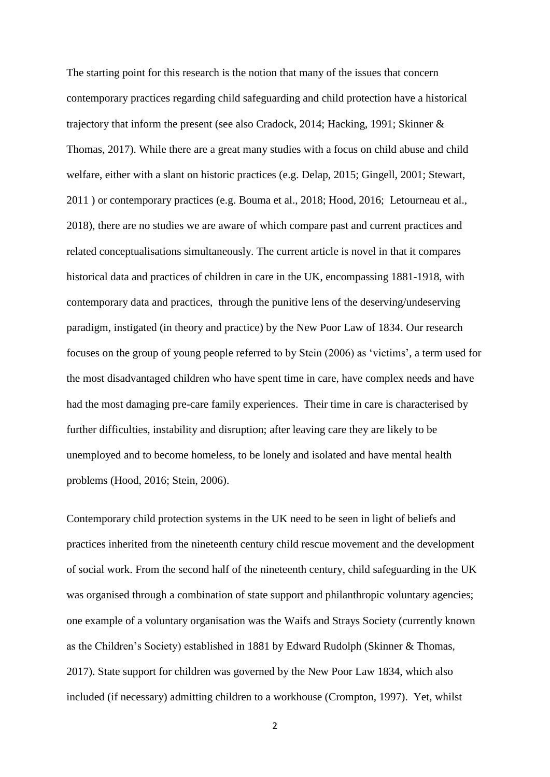The starting point for this research is the notion that many of the issues that concern contemporary practices regarding child safeguarding and child protection have a historical trajectory that inform the present (see also Cradock, 2014; Hacking, 1991; Skinner & Thomas, 2017). While there are a great many studies with a focus on child abuse and child welfare, either with a slant on historic practices (e.g. Delap, 2015; Gingell, 2001; Stewart, 2011 ) or contemporary practices (e.g. Bouma et al., 2018; Hood, 2016; Letourneau et al., 2018), there are no studies we are aware of which compare past and current practices and related conceptualisations simultaneously. The current article is novel in that it compares historical data and practices of children in care in the UK, encompassing 1881-1918, with contemporary data and practices, through the punitive lens of the deserving/undeserving paradigm, instigated (in theory and practice) by the New Poor Law of 1834. Our research focuses on the group of young people referred to by Stein (2006) as 'victims', a term used for the most disadvantaged children who have spent time in care, have complex needs and have had the most damaging pre-care family experiences. Their time in care is characterised by further difficulties, instability and disruption; after leaving care they are likely to be unemployed and to become homeless, to be lonely and isolated and have mental health problems (Hood, 2016; Stein, 2006).

Contemporary child protection systems in the UK need to be seen in light of beliefs and practices inherited from the nineteenth century child rescue movement and the development of social work. From the second half of the nineteenth century, child safeguarding in the UK was organised through a combination of state support and philanthropic voluntary agencies; one example of a voluntary organisation was the Waifs and Strays Society (currently known as the Children's Society) established in 1881 by Edward Rudolph (Skinner & Thomas, 2017). State support for children was governed by the New Poor Law 1834, which also included (if necessary) admitting children to a workhouse (Crompton, 1997). Yet, whilst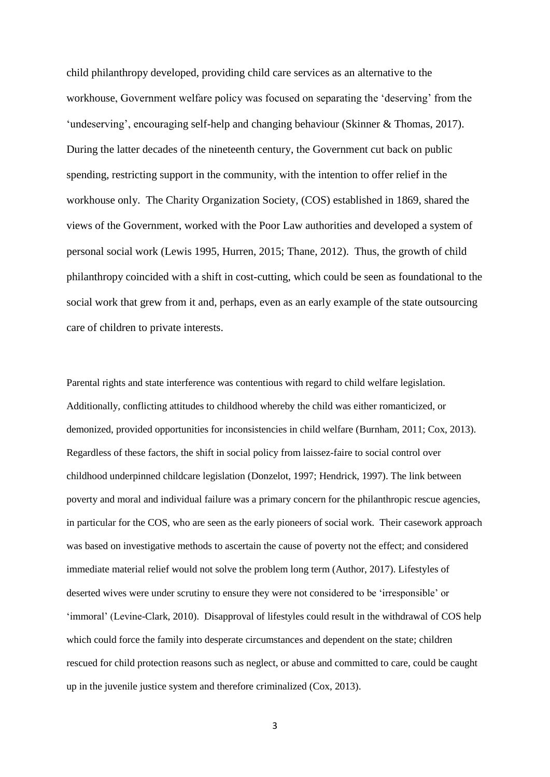child philanthropy developed, providing child care services as an alternative to the workhouse, Government welfare policy was focused on separating the 'deserving' from the 'undeserving', encouraging self-help and changing behaviour (Skinner & Thomas, 2017). During the latter decades of the nineteenth century, the Government cut back on public spending, restricting support in the community, with the intention to offer relief in the workhouse only. The Charity Organization Society, (COS) established in 1869, shared the views of the Government, worked with the Poor Law authorities and developed a system of personal social work (Lewis 1995, Hurren, 2015; Thane, 2012). Thus, the growth of child philanthropy coincided with a shift in cost-cutting, which could be seen as foundational to the social work that grew from it and, perhaps, even as an early example of the state outsourcing care of children to private interests.

Parental rights and state interference was contentious with regard to child welfare legislation. Additionally, conflicting attitudes to childhood whereby the child was either romanticized, or demonized, provided opportunities for inconsistencies in child welfare (Burnham, 2011; Cox, 2013). Regardless of these factors, the shift in social policy from laissez-faire to social control over childhood underpinned childcare legislation (Donzelot, 1997; Hendrick, 1997). The link between poverty and moral and individual failure was a primary concern for the philanthropic rescue agencies, in particular for the COS, who are seen as the early pioneers of social work. Their casework approach was based on investigative methods to ascertain the cause of poverty not the effect; and considered immediate material relief would not solve the problem long term (Author, 2017). Lifestyles of deserted wives were under scrutiny to ensure they were not considered to be 'irresponsible' or 'immoral' (Levine-Clark, 2010). Disapproval of lifestyles could result in the withdrawal of COS help which could force the family into desperate circumstances and dependent on the state; children rescued for child protection reasons such as neglect, or abuse and committed to care, could be caught up in the juvenile justice system and therefore criminalized (Cox, 2013).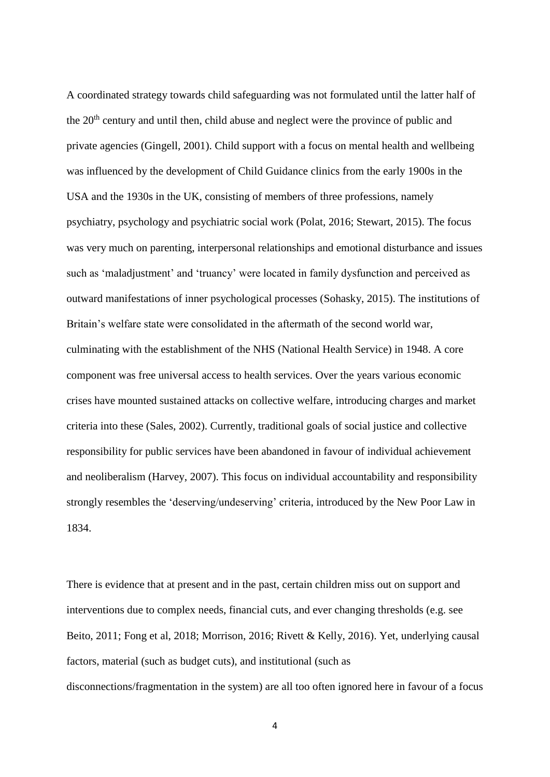A coordinated strategy towards child safeguarding was not formulated until the latter half of the 20<sup>th</sup> century and until then, child abuse and neglect were the province of public and private agencies (Gingell, 2001). Child support with a focus on mental health and wellbeing was influenced by the development of Child Guidance clinics from the early 1900s in the USA and the 1930s in the UK, consisting of members of three professions, namely psychiatry, psychology and psychiatric social work (Polat, 2016; Stewart, 2015). The focus was very much on parenting, interpersonal relationships and emotional disturbance and issues such as 'maladjustment' and 'truancy' were located in family dysfunction and perceived as outward manifestations of inner psychological processes (Sohasky, 2015). The institutions of Britain's welfare state were consolidated in the aftermath of the second world war, culminating with the establishment of the NHS (National Health Service) in 1948. A core component was free universal access to health services. Over the years various economic crises have mounted sustained attacks on collective welfare, introducing charges and market criteria into these (Sales, 2002). Currently, traditional goals of social justice and collective responsibility for public services have been abandoned in favour of individual achievement and neoliberalism (Harvey, 2007). This focus on individual accountability and responsibility strongly resembles the 'deserving/undeserving' criteria, introduced by the New Poor Law in 1834.

There is evidence that at present and in the past, certain children miss out on support and interventions due to complex needs, financial cuts, and ever changing thresholds (e.g. see Beito, 2011; Fong et al, 2018; Morrison, 2016; Rivett & Kelly, 2016). Yet, underlying causal factors, material (such as budget cuts), and institutional (such as disconnections/fragmentation in the system) are all too often ignored here in favour of a focus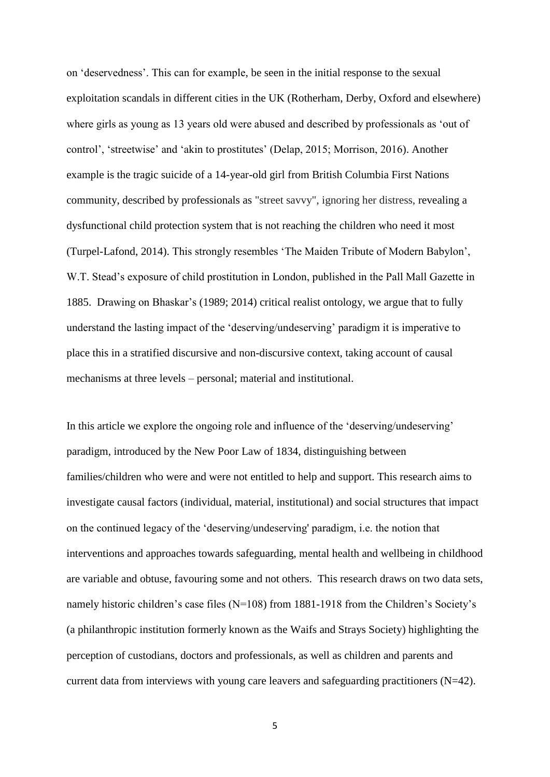on 'deservedness'. This can for example, be seen in the initial response to the sexual exploitation scandals in different cities in the UK (Rotherham, Derby, Oxford and elsewhere) where girls as young as 13 years old were abused and described by professionals as 'out of control', 'streetwise' and 'akin to prostitutes' (Delap, 2015; Morrison, 2016). Another example is the tragic suicide of a 14-year-old girl from British Columbia First Nations community, described by professionals as "street savvy", ignoring her distress, revealing a dysfunctional child protection system that is not reaching the children who need it most (Turpel-Lafond, 2014). This strongly resembles 'The Maiden Tribute of Modern Babylon', W.T. Stead's exposure of child prostitution in London, published in the Pall Mall Gazette in 1885. Drawing on Bhaskar's (1989; 2014) critical realist ontology, we argue that to fully understand the lasting impact of the 'deserving/undeserving' paradigm it is imperative to place this in a stratified discursive and non-discursive context, taking account of causal mechanisms at three levels – personal; material and institutional.

In this article we explore the ongoing role and influence of the 'deserving/undeserving' paradigm, introduced by the New Poor Law of 1834, distinguishing between families/children who were and were not entitled to help and support. This research aims to investigate causal factors (individual, material, institutional) and social structures that impact on the continued legacy of the 'deserving/undeserving' paradigm, i.e. the notion that interventions and approaches towards safeguarding, mental health and wellbeing in childhood are variable and obtuse, favouring some and not others. This research draws on two data sets, namely historic children's case files (N=108) from 1881-1918 from the Children's Society's (a philanthropic institution formerly known as the Waifs and Strays Society) highlighting the perception of custodians, doctors and professionals, as well as children and parents and current data from interviews with young care leavers and safeguarding practitioners (N=42).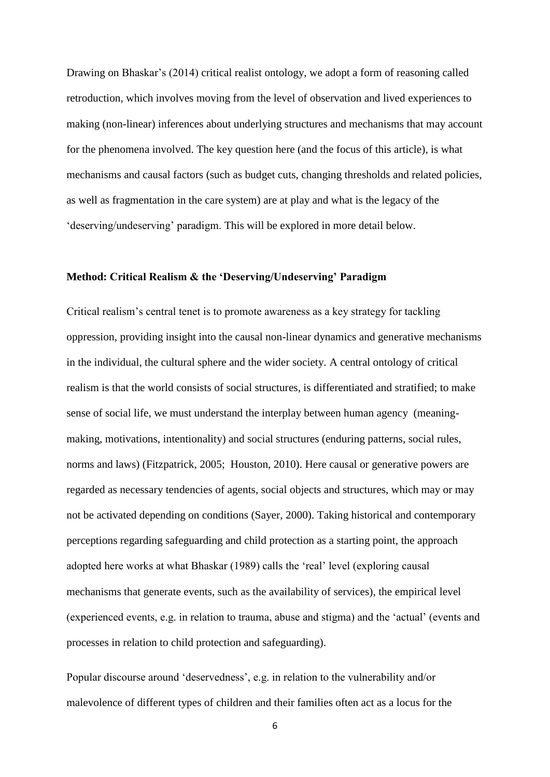Drawing on Bhaskar's (2014) critical realist ontology, we adopt a form of reasoning called retroduction, which involves moving from the level of observation and lived experiences to making (non-linear) inferences about underlying structures and mechanisms that may account for the phenomena involved. The key question here (and the focus of this article), is what mechanisms and causal factors (such as budget cuts, changing thresholds and related policies, as well as fragmentation in the care system) are at play and what is the legacy of the 'deserving/undeserving' paradigm. This will be explored in more detail below.

# **Method: Critical Realism & the 'Deserving/Undeserving' Paradigm**

Critical realism's central tenet is to promote awareness as a key strategy for tackling oppression, providing insight into the causal non-linear dynamics and generative mechanisms in the individual, the cultural sphere and the wider society. A central ontology of critical realism is that the world consists of social structures, is differentiated and stratified; to make sense of social life, we must understand the interplay between human agency (meaningmaking, motivations, intentionality) and social structures (enduring patterns, social rules, norms and laws) (Fitzpatrick, 2005; Houston, 2010). Here causal or generative powers are regarded as necessary tendencies of agents, social objects and structures, which may or may not be activated depending on conditions (Sayer, 2000). Taking historical and contemporary perceptions regarding safeguarding and child protection as a starting point, the approach adopted here works at what Bhaskar (1989) calls the 'real' level (exploring causal mechanisms that generate events, such as the availability of services), the empirical level (experienced events, e.g. in relation to trauma, abuse and stigma) and the 'actual' (events and processes in relation to child protection and safeguarding).

Popular discourse around 'deservedness', e.g. in relation to the vulnerability and/or malevolence of different types of children and their families often act as a locus for the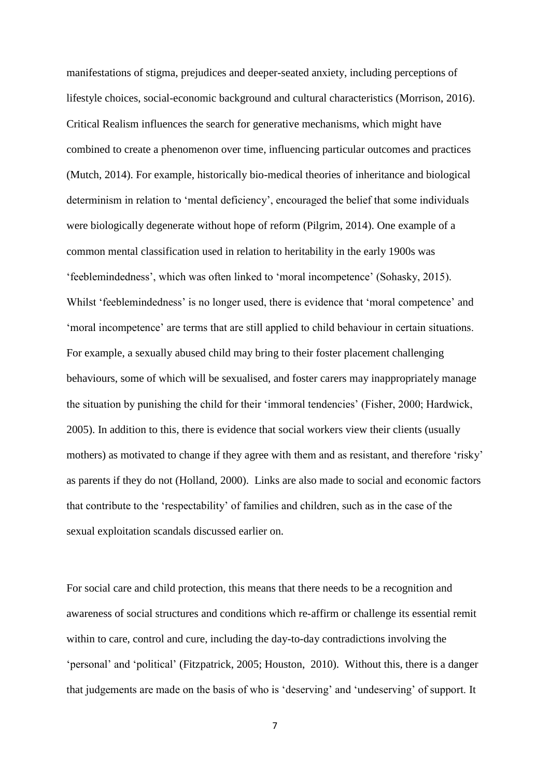manifestations of stigma, prejudices and deeper-seated anxiety, including perceptions of lifestyle choices, social-economic background and cultural characteristics (Morrison, 2016). Critical Realism influences the search for generative mechanisms, which might have combined to create a phenomenon over time, influencing particular outcomes and practices (Mutch, 2014). For example, historically bio-medical theories of inheritance and biological determinism in relation to 'mental deficiency', encouraged the belief that some individuals were biologically degenerate without hope of reform (Pilgrim, 2014). One example of a common mental classification used in relation to heritability in the early 1900s was 'feeblemindedness', which was often linked to 'moral incompetence' (Sohasky, 2015). Whilst 'feeblemindedness' is no longer used, there is evidence that 'moral competence' and 'moral incompetence' are terms that are still applied to child behaviour in certain situations. For example, a sexually abused child may bring to their foster placement challenging behaviours, some of which will be sexualised, and foster carers may inappropriately manage the situation by punishing the child for their 'immoral tendencies' (Fisher, 2000; Hardwick, 2005). In addition to this, there is evidence that social workers view their clients (usually mothers) as motivated to change if they agree with them and as resistant, and therefore 'risky' as parents if they do not (Holland, 2000). Links are also made to social and economic factors that contribute to the 'respectability' of families and children, such as in the case of the sexual exploitation scandals discussed earlier on.

For social care and child protection, this means that there needs to be a recognition and awareness of social structures and conditions which re-affirm or challenge its essential remit within to care, control and cure, including the day-to-day contradictions involving the 'personal' and 'political' (Fitzpatrick, 2005; Houston, 2010). Without this, there is a danger that judgements are made on the basis of who is 'deserving' and 'undeserving' of support. It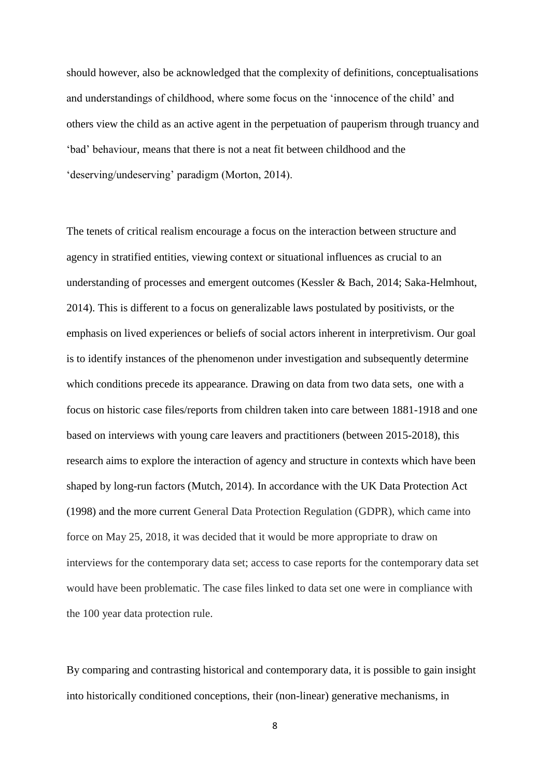should however, also be acknowledged that the complexity of definitions, conceptualisations and understandings of childhood, where some focus on the 'innocence of the child' and others view the child as an active agent in the perpetuation of pauperism through truancy and 'bad' behaviour, means that there is not a neat fit between childhood and the 'deserving/undeserving' paradigm (Morton, 2014).

The tenets of critical realism encourage a focus on the interaction between structure and agency in stratified entities, viewing context or situational influences as crucial to an understanding of processes and emergent outcomes (Kessler & Bach, 2014; Saka-Helmhout, 2014). This is different to a focus on generalizable laws postulated by positivists, or the emphasis on lived experiences or beliefs of social actors inherent in interpretivism. Our goal is to identify instances of the phenomenon under investigation and subsequently determine which conditions precede its appearance. Drawing on data from two data sets, one with a focus on historic case files/reports from children taken into care between 1881-1918 and one based on interviews with young care leavers and practitioners (between 2015-2018), this research aims to explore the interaction of agency and structure in contexts which have been shaped by long-run factors (Mutch, 2014). In accordance with the UK Data Protection Act (1998) and the more current General Data Protection Regulation (GDPR), which came into force on May 25, 2018, it was decided that it would be more appropriate to draw on interviews for the contemporary data set; access to case reports for the contemporary data set would have been problematic. The case files linked to data set one were in compliance with the 100 year data protection rule.

By comparing and contrasting historical and contemporary data, it is possible to gain insight into historically conditioned conceptions, their (non-linear) generative mechanisms, in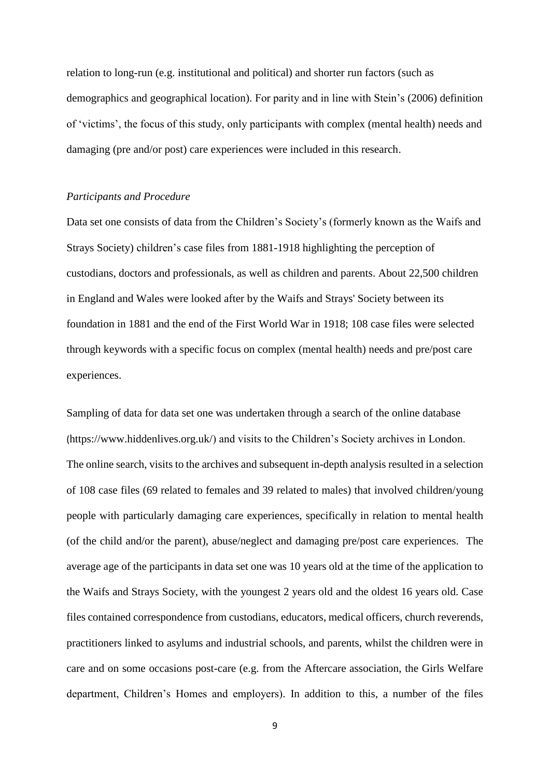relation to long-run (e.g. institutional and political) and shorter run factors (such as demographics and geographical location). For parity and in line with Stein's (2006) definition of 'victims', the focus of this study, only participants with complex (mental health) needs and damaging (pre and/or post) care experiences were included in this research.

### *Participants and Procedure*

Data set one consists of data from the Children's Society's (formerly known as the Waifs and Strays Society) children's case files from 1881-1918 highlighting the perception of custodians, doctors and professionals, as well as children and parents. About 22,500 children in England and Wales were looked after by the Waifs and Strays' Society between its foundation in 1881 and the end of the First World War in 1918; 108 case files were selected through keywords with a specific focus on complex (mental health) needs and pre/post care experiences.

Sampling of data for data set one was undertaken through a search of the online database (https://www.hiddenlives.org.uk/) and visits to the Children's Society archives in London. The online search, visits to the archives and subsequent in-depth analysis resulted in a selection of 108 case files (69 related to females and 39 related to males) that involved children/young people with particularly damaging care experiences, specifically in relation to mental health (of the child and/or the parent), abuse/neglect and damaging pre/post care experiences. The average age of the participants in data set one was 10 years old at the time of the application to the Waifs and Strays Society, with the youngest 2 years old and the oldest 16 years old. Case files contained correspondence from custodians, educators, medical officers, church reverends, practitioners linked to asylums and industrial schools, and parents, whilst the children were in care and on some occasions post-care (e.g. from the Aftercare association, the Girls Welfare department, Children's Homes and employers). In addition to this, a number of the files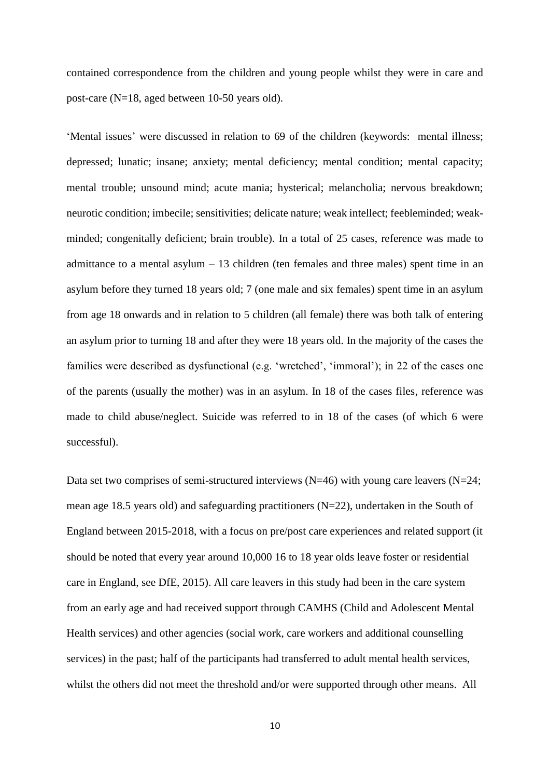contained correspondence from the children and young people whilst they were in care and post-care (N=18, aged between 10-50 years old).

'Mental issues' were discussed in relation to 69 of the children (keywords: mental illness; depressed; lunatic; insane; anxiety; mental deficiency; mental condition; mental capacity; mental trouble; unsound mind; acute mania; hysterical; melancholia; nervous breakdown; neurotic condition; imbecile; sensitivities; delicate nature; weak intellect; feebleminded; weakminded; congenitally deficient; brain trouble). In a total of 25 cases, reference was made to admittance to a mental asylum  $-13$  children (ten females and three males) spent time in an asylum before they turned 18 years old; 7 (one male and six females) spent time in an asylum from age 18 onwards and in relation to 5 children (all female) there was both talk of entering an asylum prior to turning 18 and after they were 18 years old. In the majority of the cases the families were described as dysfunctional (e.g. 'wretched', 'immoral'); in 22 of the cases one of the parents (usually the mother) was in an asylum. In 18 of the cases files, reference was made to child abuse/neglect. Suicide was referred to in 18 of the cases (of which 6 were successful).

Data set two comprises of semi-structured interviews (N=46) with young care leavers (N=24; mean age 18.5 years old) and safeguarding practitioners (N=22), undertaken in the South of England between 2015-2018, with a focus on pre/post care experiences and related support (it should be noted that every year around 10,000 16 to 18 year olds leave foster or residential care in England, see DfE, 2015). All care leavers in this study had been in the care system from an early age and had received support through CAMHS (Child and Adolescent Mental Health services) and other agencies (social work, care workers and additional counselling services) in the past; half of the participants had transferred to adult mental health services, whilst the others did not meet the threshold and/or were supported through other means. All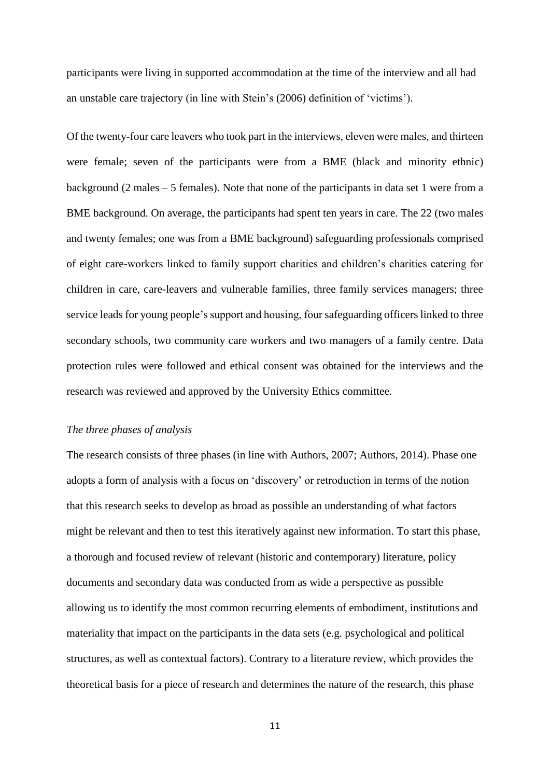participants were living in supported accommodation at the time of the interview and all had an unstable care trajectory (in line with Stein's (2006) definition of 'victims').

Of the twenty-four care leavers who took part in the interviews, eleven were males, and thirteen were female; seven of the participants were from a BME (black and minority ethnic) background (2 males – 5 females). Note that none of the participants in data set 1 were from a BME background. On average, the participants had spent ten years in care. The 22 (two males and twenty females; one was from a BME background) safeguarding professionals comprised of eight care-workers linked to family support charities and children's charities catering for children in care, care-leavers and vulnerable families, three family services managers; three service leads for young people's support and housing, four safeguarding officers linked to three secondary schools, two community care workers and two managers of a family centre. Data protection rules were followed and ethical consent was obtained for the interviews and the research was reviewed and approved by the University Ethics committee.

## *The three phases of analysis*

The research consists of three phases (in line with Authors, 2007; Authors, 2014). Phase one adopts a form of analysis with a focus on 'discovery' or retroduction in terms of the notion that this research seeks to develop as broad as possible an understanding of what factors might be relevant and then to test this iteratively against new information. To start this phase, a thorough and focused review of relevant (historic and contemporary) literature, policy documents and secondary data was conducted from as wide a perspective as possible allowing us to identify the most common recurring elements of embodiment, institutions and materiality that impact on the participants in the data sets (e.g. psychological and political structures, as well as contextual factors). Contrary to a literature review, which provides the theoretical basis for a piece of research and determines the nature of the research, this phase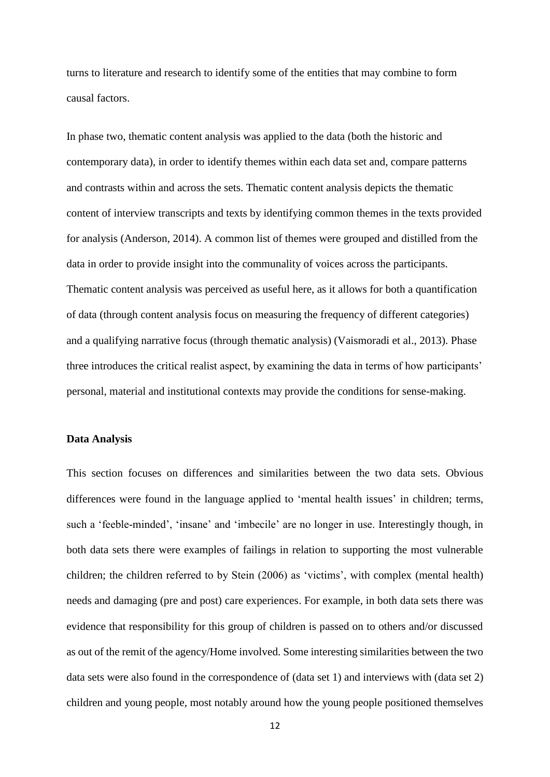turns to literature and research to identify some of the entities that may combine to form causal factors.

In phase two, thematic content analysis was applied to the data (both the historic and contemporary data), in order to identify themes within each data set and, compare patterns and contrasts within and across the sets. Thematic content analysis depicts the thematic content of interview transcripts and texts by identifying common themes in the texts provided for analysis (Anderson, 2014). A common list of themes were grouped and distilled from the data in order to provide insight into the communality of voices across the participants. Thematic content analysis was perceived as useful here, as it allows for both a quantification of data (through content analysis focus on measuring the frequency of different categories) and a qualifying narrative focus (through thematic analysis) (Vaismoradi et al., 2013). Phase three introduces the critical realist aspect, by examining the data in terms of how participants' personal, material and institutional contexts may provide the conditions for sense-making.

# **Data Analysis**

This section focuses on differences and similarities between the two data sets. Obvious differences were found in the language applied to 'mental health issues' in children; terms, such a 'feeble-minded', 'insane' and 'imbecile' are no longer in use. Interestingly though, in both data sets there were examples of failings in relation to supporting the most vulnerable children; the children referred to by Stein (2006) as 'victims', with complex (mental health) needs and damaging (pre and post) care experiences. For example, in both data sets there was evidence that responsibility for this group of children is passed on to others and/or discussed as out of the remit of the agency/Home involved. Some interesting similarities between the two data sets were also found in the correspondence of (data set 1) and interviews with (data set 2) children and young people, most notably around how the young people positioned themselves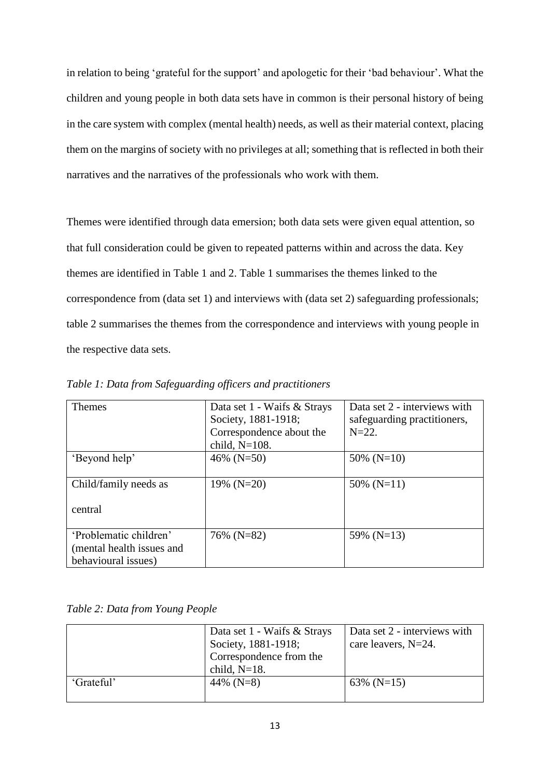in relation to being 'grateful for the support' and apologetic for their 'bad behaviour'. What the children and young people in both data sets have in common is their personal history of being in the care system with complex (mental health) needs, as well as their material context, placing them on the margins of society with no privileges at all; something that is reflected in both their narratives and the narratives of the professionals who work with them.

Themes were identified through data emersion; both data sets were given equal attention, so that full consideration could be given to repeated patterns within and across the data. Key themes are identified in Table 1 and 2. Table 1 summarises the themes linked to the correspondence from (data set 1) and interviews with (data set 2) safeguarding professionals; table 2 summarises the themes from the correspondence and interviews with young people in the respective data sets.

| <b>Themes</b>             | Data set 1 - Waifs & Strays | Data set 2 - interviews with |
|---------------------------|-----------------------------|------------------------------|
|                           | Society, 1881-1918;         | safeguarding practitioners,  |
|                           | Correspondence about the    | $N = 22$ .                   |
|                           | child, $N=108$ .            |                              |
| 'Beyond help'             | 46% (N=50)                  | 50% (N=10)                   |
|                           |                             |                              |
| Child/family needs as     | 19% $(N=20)$                | 50% $(N=11)$                 |
|                           |                             |                              |
| central                   |                             |                              |
|                           |                             |                              |
| 'Problematic children'    | $76\%$ (N=82)               | 59% $(N=13)$                 |
| (mental health issues and |                             |                              |
| behavioural issues)       |                             |                              |

*Table 1: Data from Safeguarding officers and practitioners*

|  | Table 2: Data from Young People |  |  |
|--|---------------------------------|--|--|
|--|---------------------------------|--|--|

|            | Data set 1 - Waifs & Strays | Data set 2 - interviews with |
|------------|-----------------------------|------------------------------|
|            | Society, 1881-1918;         | care leavers, N=24.          |
|            | Correspondence from the     |                              |
|            | child, $N=18$ .             |                              |
| 'Grateful' | 44\% (N=8)                  | 63% (N=15)                   |
|            |                             |                              |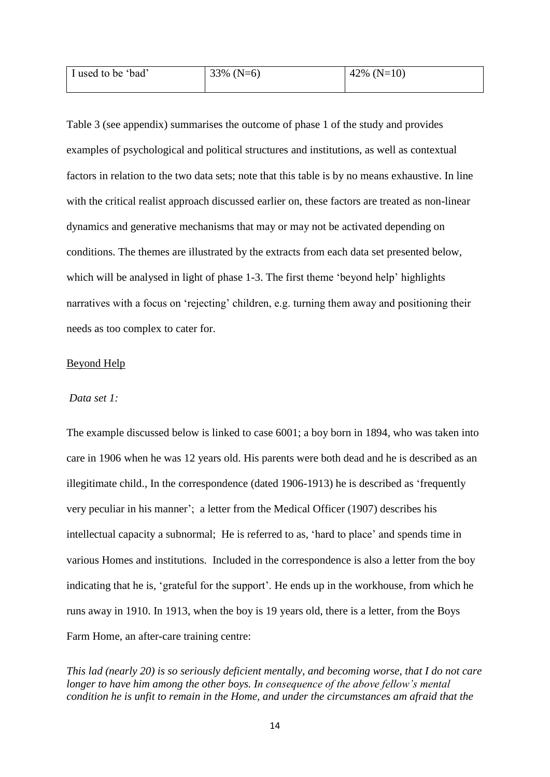| I used to be 'bad' | 33% (N=6) | 42% ( $N=10$ ) |
|--------------------|-----------|----------------|
|                    |           |                |

Table 3 (see appendix) summarises the outcome of phase 1 of the study and provides examples of psychological and political structures and institutions, as well as contextual factors in relation to the two data sets; note that this table is by no means exhaustive. In line with the critical realist approach discussed earlier on, these factors are treated as non-linear dynamics and generative mechanisms that may or may not be activated depending on conditions. The themes are illustrated by the extracts from each data set presented below, which will be analysed in light of phase 1-3. The first theme 'beyond help' highlights narratives with a focus on 'rejecting' children, e.g. turning them away and positioning their needs as too complex to cater for.

## Beyond Help

#### *Data set 1:*

The example discussed below is linked to case 6001; a boy born in 1894, who was taken into care in 1906 when he was 12 years old. His parents were both dead and he is described as an illegitimate child., In the correspondence (dated 1906-1913) he is described as 'frequently very peculiar in his manner'; a letter from the Medical Officer (1907) describes his intellectual capacity a subnormal; He is referred to as, 'hard to place' and spends time in various Homes and institutions. Included in the correspondence is also a letter from the boy indicating that he is, 'grateful for the support'. He ends up in the workhouse, from which he runs away in 1910. In 1913, when the boy is 19 years old, there is a letter, from the Boys Farm Home, an after-care training centre:

*This lad (nearly 20) is so seriously deficient mentally, and becoming worse, that I do not care longer to have him among the other boys. In consequence of the above fellow's mental condition he is unfit to remain in the Home, and under the circumstances am afraid that the*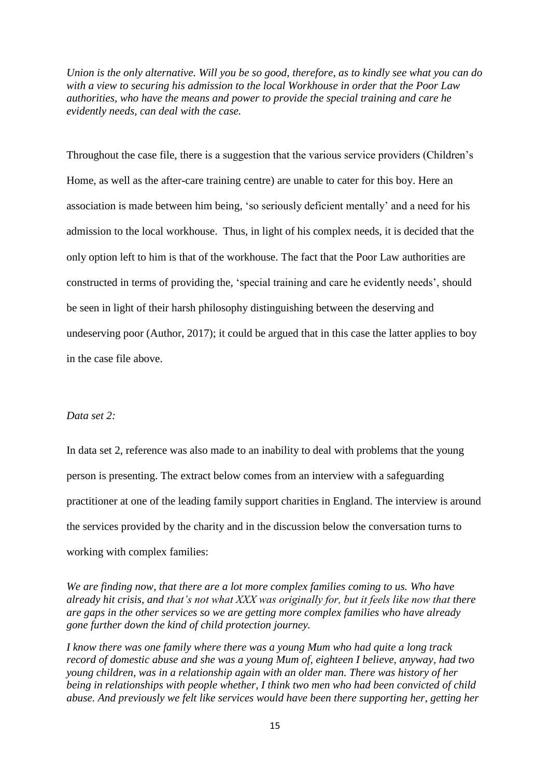*Union is the only alternative. Will you be so good, therefore, as to kindly see what you can do with a view to securing his admission to the local Workhouse in order that the Poor Law authorities, who have the means and power to provide the special training and care he evidently needs, can deal with the case.*

Throughout the case file, there is a suggestion that the various service providers (Children's Home, as well as the after-care training centre) are unable to cater for this boy. Here an association is made between him being, 'so seriously deficient mentally' and a need for his admission to the local workhouse. Thus, in light of his complex needs, it is decided that the only option left to him is that of the workhouse. The fact that the Poor Law authorities are constructed in terms of providing the, 'special training and care he evidently needs', should be seen in light of their harsh philosophy distinguishing between the deserving and undeserving poor (Author, 2017); it could be argued that in this case the latter applies to boy in the case file above.

## *Data set 2:*

In data set 2, reference was also made to an inability to deal with problems that the young person is presenting. The extract below comes from an interview with a safeguarding practitioner at one of the leading family support charities in England. The interview is around the services provided by the charity and in the discussion below the conversation turns to working with complex families:

*We are finding now, that there are a lot more complex families coming to us. Who have already hit crisis, and that's not what XXX was originally for, but it feels like now that there are gaps in the other services so we are getting more complex families who have already gone further down the kind of child protection journey.*

*I know there was one family where there was a young Mum who had quite a long track record of domestic abuse and she was a young Mum of, eighteen I believe, anyway, had two young children, was in a relationship again with an older man. There was history of her being in relationships with people whether, I think two men who had been convicted of child abuse. And previously we felt like services would have been there supporting her, getting her*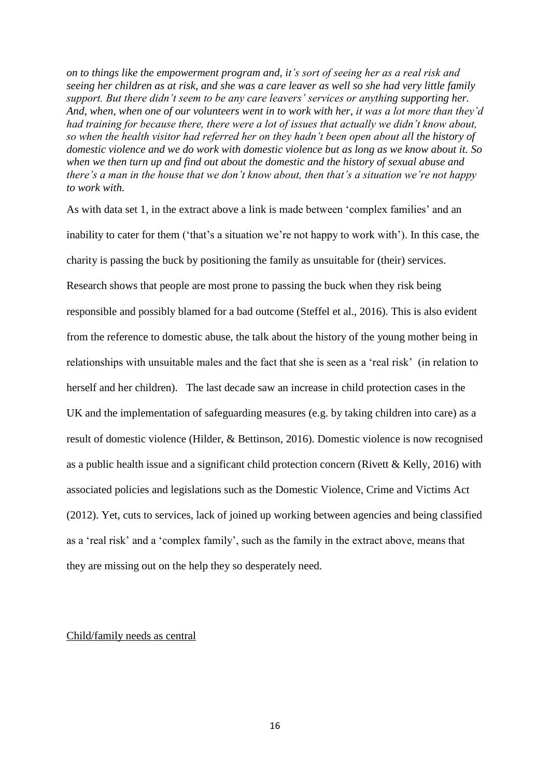*on to things like the empowerment program and, it's sort of seeing her as a real risk and seeing her children as at risk, and she was a care leaver as well so she had very little family support. But there didn't seem to be any care leavers' services or anything supporting her. And, when, when one of our volunteers went in to work with her, it was a lot more than they'd had training for because there, there were a lot of issues that actually we didn't know about, so when the health visitor had referred her on they hadn't been open about all the history of domestic violence and we do work with domestic violence but as long as we know about it. So when we then turn up and find out about the domestic and the history of sexual abuse and there's a man in the house that we don't know about, then that's a situation we're not happy to work with.* 

As with data set 1, in the extract above a link is made between 'complex families' and an inability to cater for them ('that's a situation we're not happy to work with'). In this case, the charity is passing the buck by positioning the family as unsuitable for (their) services. Research shows that people are most prone to passing the buck when they risk being responsible and possibly blamed for a bad outcome (Steffel et al., 2016). This is also evident from the reference to domestic abuse, the talk about the history of the young mother being in relationships with unsuitable males and the fact that she is seen as a 'real risk' (in relation to herself and her children). The last decade saw an increase in child protection cases in the UK and the implementation of safeguarding measures (e.g. by taking children into care) as a result of domestic violence (Hilder, & Bettinson, 2016). Domestic violence is now recognised as a public health issue and a significant child protection concern (Rivett & Kelly, 2016) with associated policies and legislations such as the Domestic Violence, Crime and Victims Act (2012). Yet, cuts to services, lack of joined up working between agencies and being classified as a 'real risk' and a 'complex family', such as the family in the extract above, means that they are missing out on the help they so desperately need.

# Child/family needs as central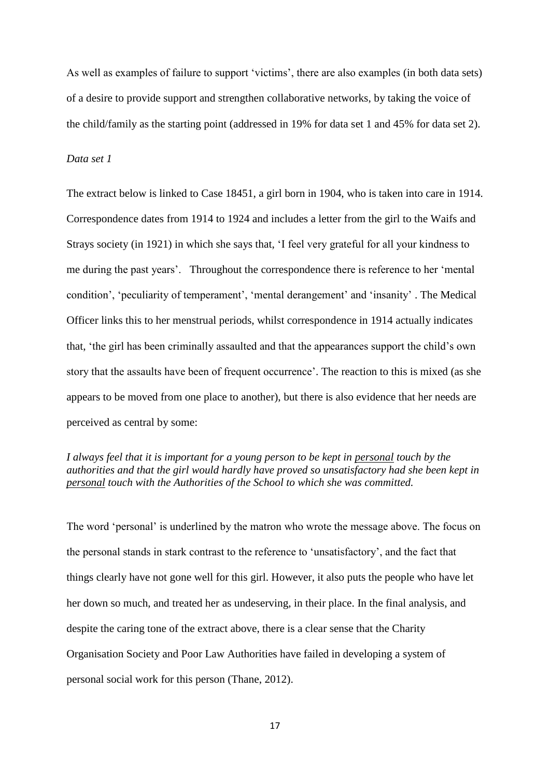As well as examples of failure to support 'victims', there are also examples (in both data sets) of a desire to provide support and strengthen collaborative networks, by taking the voice of the child/family as the starting point (addressed in 19% for data set 1 and 45% for data set 2).

#### *Data set 1*

The extract below is linked to Case 18451, a girl born in 1904, who is taken into care in 1914. Correspondence dates from 1914 to 1924 and includes a letter from the girl to the Waifs and Strays society (in 1921) in which she says that, 'I feel very grateful for all your kindness to me during the past years'. Throughout the correspondence there is reference to her 'mental condition', 'peculiarity of temperament', 'mental derangement' and 'insanity' . The Medical Officer links this to her menstrual periods, whilst correspondence in 1914 actually indicates that, 'the girl has been criminally assaulted and that the appearances support the child's own story that the assaults have been of frequent occurrence'. The reaction to this is mixed (as she appears to be moved from one place to another), but there is also evidence that her needs are perceived as central by some:

# *I always feel that it is important for a young person to be kept in personal touch by the authorities and that the girl would hardly have proved so unsatisfactory had she been kept in personal touch with the Authorities of the School to which she was committed.*

The word 'personal' is underlined by the matron who wrote the message above. The focus on the personal stands in stark contrast to the reference to 'unsatisfactory', and the fact that things clearly have not gone well for this girl. However, it also puts the people who have let her down so much, and treated her as undeserving, in their place. In the final analysis, and despite the caring tone of the extract above, there is a clear sense that the Charity Organisation Society and Poor Law Authorities have failed in developing a system of personal social work for this person (Thane, 2012).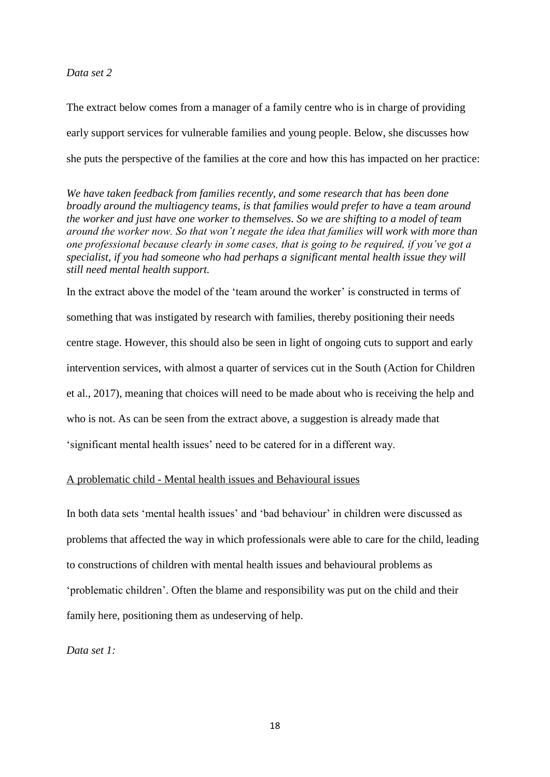## *Data set 2*

The extract below comes from a manager of a family centre who is in charge of providing early support services for vulnerable families and young people. Below, she discusses how she puts the perspective of the families at the core and how this has impacted on her practice:

*We have taken feedback from families recently, and some research that has been done broadly around the multiagency teams, is that families would prefer to have a team around the worker and just have one worker to themselves. So we are shifting to a model of team around the worker now. So that won't negate the idea that families will work with more than one professional because clearly in some cases, that is going to be required, if you've got a specialist, if you had someone who had perhaps a significant mental health issue they will still need mental health support.* 

In the extract above the model of the 'team around the worker' is constructed in terms of something that was instigated by research with families, thereby positioning their needs centre stage. However, this should also be seen in light of ongoing cuts to support and early intervention services, with almost a quarter of services cut in the South (Action for Children et al., 2017), meaning that choices will need to be made about who is receiving the help and who is not. As can be seen from the extract above, a suggestion is already made that 'significant mental health issues' need to be catered for in a different way.

# A problematic child - Mental health issues and Behavioural issues

In both data sets 'mental health issues' and 'bad behaviour' in children were discussed as problems that affected the way in which professionals were able to care for the child, leading to constructions of children with mental health issues and behavioural problems as 'problematic children'. Often the blame and responsibility was put on the child and their family here, positioning them as undeserving of help.

*Data set 1:*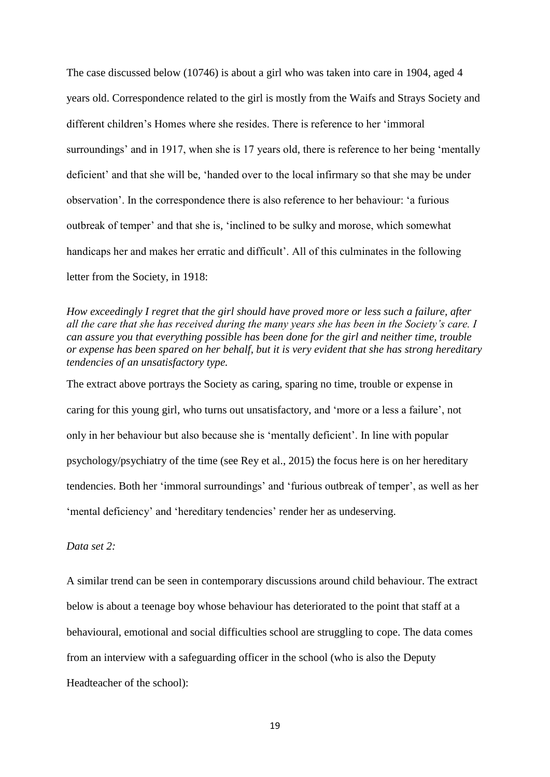The case discussed below (10746) is about a girl who was taken into care in 1904, aged 4 years old. Correspondence related to the girl is mostly from the Waifs and Strays Society and different children's Homes where she resides. There is reference to her 'immoral surroundings' and in 1917, when she is 17 years old, there is reference to her being 'mentally deficient' and that she will be, 'handed over to the local infirmary so that she may be under observation'. In the correspondence there is also reference to her behaviour: 'a furious outbreak of temper' and that she is, 'inclined to be sulky and morose, which somewhat handicaps her and makes her erratic and difficult'. All of this culminates in the following letter from the Society, in 1918:

*How exceedingly I regret that the girl should have proved more or less such a failure, after all the care that she has received during the many years she has been in the Society's care. I can assure you that everything possible has been done for the girl and neither time, trouble or expense has been spared on her behalf, but it is very evident that she has strong hereditary tendencies of an unsatisfactory type.* 

The extract above portrays the Society as caring, sparing no time, trouble or expense in caring for this young girl, who turns out unsatisfactory, and 'more or a less a failure', not only in her behaviour but also because she is 'mentally deficient'. In line with popular psychology/psychiatry of the time (see Rey et al., 2015) the focus here is on her hereditary tendencies. Both her 'immoral surroundings' and 'furious outbreak of temper', as well as her 'mental deficiency' and 'hereditary tendencies' render her as undeserving.

# *Data set 2:*

A similar trend can be seen in contemporary discussions around child behaviour. The extract below is about a teenage boy whose behaviour has deteriorated to the point that staff at a behavioural, emotional and social difficulties school are struggling to cope. The data comes from an interview with a safeguarding officer in the school (who is also the Deputy Headteacher of the school):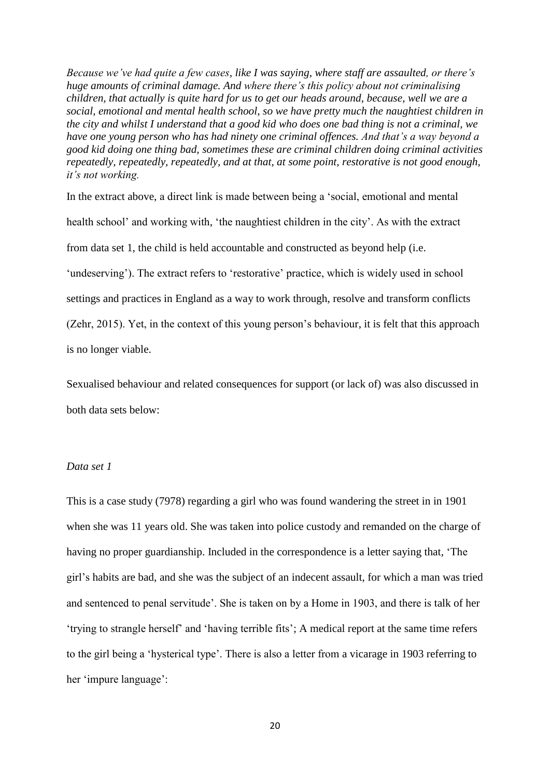*Because we've had quite a few cases, like I was saying, where staff are assaulted, or there's huge amounts of criminal damage. And where there's this policy about not criminalising children, that actually is quite hard for us to get our heads around, because, well we are a social, emotional and mental health school, so we have pretty much the naughtiest children in the city and whilst I understand that a good kid who does one bad thing is not a criminal, we have one young person who has had ninety one criminal offences. And that's a way beyond a good kid doing one thing bad, sometimes these are criminal children doing criminal activities repeatedly, repeatedly, repeatedly, and at that, at some point, restorative is not good enough, it's not working.*

In the extract above, a direct link is made between being a 'social, emotional and mental health school' and working with, 'the naughtiest children in the city'. As with the extract from data set 1, the child is held accountable and constructed as beyond help (i.e. 'undeserving'). The extract refers to 'restorative' practice, which is widely used in school settings and practices in England as a way to work through, resolve and transform conflicts (Zehr, 2015). Yet, in the context of this young person's behaviour, it is felt that this approach is no longer viable.

Sexualised behaviour and related consequences for support (or lack of) was also discussed in both data sets below:

#### *Data set 1*

This is a case study (7978) regarding a girl who was found wandering the street in in 1901 when she was 11 years old. She was taken into police custody and remanded on the charge of having no proper guardianship. Included in the correspondence is a letter saying that, 'The girl's habits are bad, and she was the subject of an indecent assault, for which a man was tried and sentenced to penal servitude'. She is taken on by a Home in 1903, and there is talk of her 'trying to strangle herself' and 'having terrible fits'; A medical report at the same time refers to the girl being a 'hysterical type'. There is also a letter from a vicarage in 1903 referring to her 'impure language':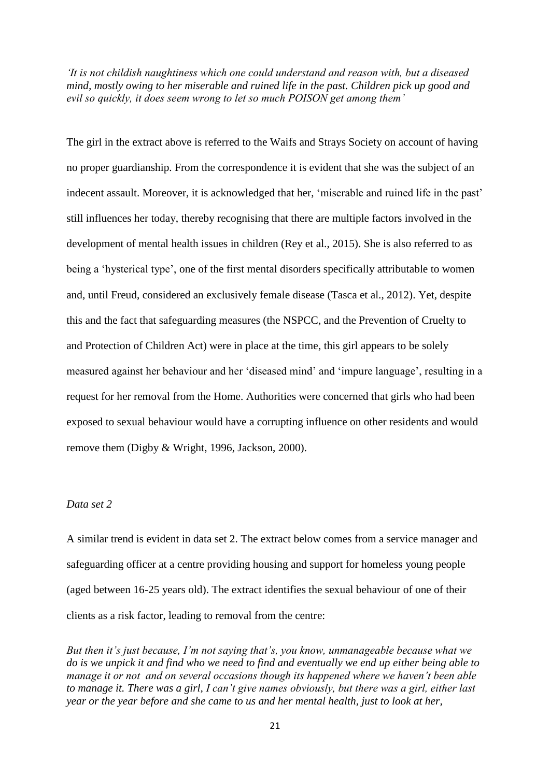*'It is not childish naughtiness which one could understand and reason with, but a diseased mind, mostly owing to her miserable and ruined life in the past. Children pick up good and evil so quickly, it does seem wrong to let so much POISON get among them'* 

The girl in the extract above is referred to the Waifs and Strays Society on account of having no proper guardianship. From the correspondence it is evident that she was the subject of an indecent assault. Moreover, it is acknowledged that her, 'miserable and ruined life in the past' still influences her today, thereby recognising that there are multiple factors involved in the development of mental health issues in children (Rey et al., 2015). She is also referred to as being a 'hysterical type', one of the first mental disorders specifically attributable to women and, until Freud, considered an exclusively female disease (Tasca et al., 2012). Yet, despite this and the fact that safeguarding measures (the NSPCC, and the Prevention of Cruelty to and Protection of Children Act) were in place at the time, this girl appears to be solely measured against her behaviour and her 'diseased mind' and 'impure language', resulting in a request for her removal from the Home. Authorities were concerned that girls who had been exposed to sexual behaviour would have a corrupting influence on other residents and would remove them (Digby & Wright, 1996, Jackson, 2000).

# *Data set 2*

A similar trend is evident in data set 2. The extract below comes from a service manager and safeguarding officer at a centre providing housing and support for homeless young people (aged between 16-25 years old). The extract identifies the sexual behaviour of one of their clients as a risk factor, leading to removal from the centre:

*But then it's just because, I'm not saying that's, you know, unmanageable because what we do is we unpick it and find who we need to find and eventually we end up either being able to manage it or not and on several occasions though its happened where we haven't been able to manage it. There was a girl, I can't give names obviously, but there was a girl, either last year or the year before and she came to us and her mental health, just to look at her,*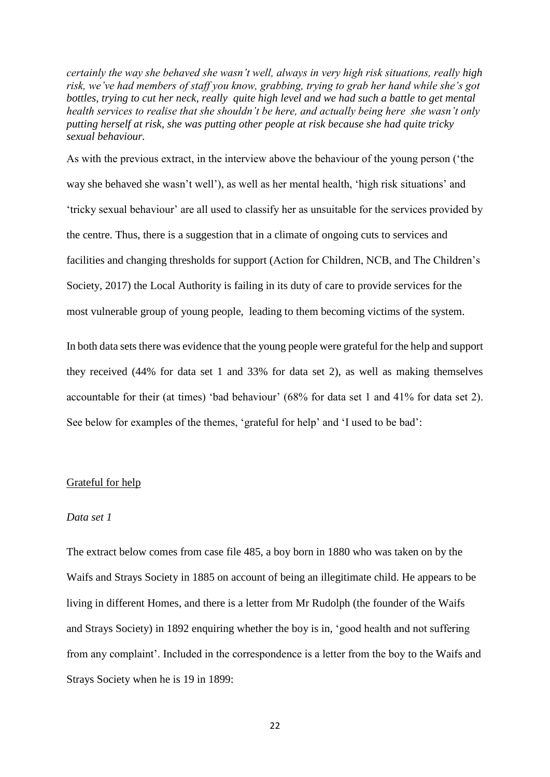*certainly the way she behaved she wasn't well, always in very high risk situations, really high risk, we've had members of staff you know, grabbing, trying to grab her hand while she's got bottles, trying to cut her neck, really quite high level and we had such a battle to get mental health services to realise that she shouldn't be here, and actually being here she wasn't only putting herself at risk, she was putting other people at risk because she had quite tricky sexual behaviour.*

As with the previous extract, in the interview above the behaviour of the young person ('the way she behaved she wasn't well'), as well as her mental health, 'high risk situations' and 'tricky sexual behaviour' are all used to classify her as unsuitable for the services provided by the centre. Thus, there is a suggestion that in a climate of ongoing cuts to services and facilities and changing thresholds for support (Action for Children, NCB, and The Children's Society, 2017) the Local Authority is failing in its duty of care to provide services for the most vulnerable group of young people, leading to them becoming victims of the system.

In both data sets there was evidence that the young people were grateful for the help and support they received (44% for data set 1 and 33% for data set 2), as well as making themselves accountable for their (at times) 'bad behaviour' (68% for data set 1 and 41% for data set 2). See below for examples of the themes, 'grateful for help' and 'I used to be bad':

# Grateful for help

# *Data set 1*

The extract below comes from case file 485, a boy born in 1880 who was taken on by the Waifs and Strays Society in 1885 on account of being an illegitimate child. He appears to be living in different Homes, and there is a letter from Mr Rudolph (the founder of the Waifs and Strays Society) in 1892 enquiring whether the boy is in, 'good health and not suffering from any complaint'. Included in the correspondence is a letter from the boy to the Waifs and Strays Society when he is 19 in 1899: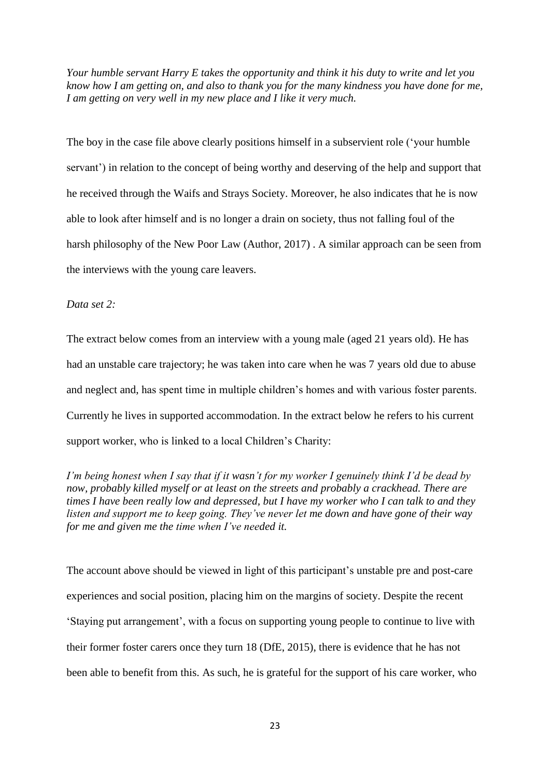*Your humble servant Harry E takes the opportunity and think it his duty to write and let you know how I am getting on, and also to thank you for the many kindness you have done for me, I am getting on very well in my new place and I like it very much.* 

The boy in the case file above clearly positions himself in a subservient role ('your humble servant') in relation to the concept of being worthy and deserving of the help and support that he received through the Waifs and Strays Society. Moreover, he also indicates that he is now able to look after himself and is no longer a drain on society, thus not falling foul of the harsh philosophy of the New Poor Law (Author, 2017) . A similar approach can be seen from the interviews with the young care leavers.

# *Data set 2:*

The extract below comes from an interview with a young male (aged 21 years old). He has had an unstable care trajectory; he was taken into care when he was 7 years old due to abuse and neglect and, has spent time in multiple children's homes and with various foster parents. Currently he lives in supported accommodation. In the extract below he refers to his current support worker, who is linked to a local Children's Charity:

*I'm being honest when I say that if it wasn't for my worker I genuinely think I'd be dead by now, probably killed myself or at least on the streets and probably a crackhead. There are times I have been really low and depressed, but I have my worker who I can talk to and they listen and support me to keep going. They've never let me down and have gone of their way for me and given me the time when I've needed it.*

The account above should be viewed in light of this participant's unstable pre and post-care experiences and social position, placing him on the margins of society. Despite the recent 'Staying put arrangement', with a focus on supporting young people to continue to live with their former foster carers once they turn 18 (DfE, 2015), there is evidence that he has not been able to benefit from this. As such, he is grateful for the support of his care worker, who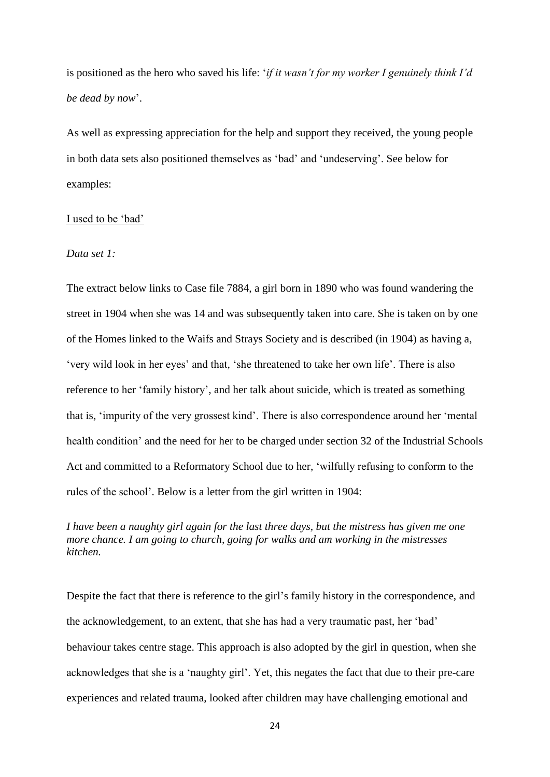is positioned as the hero who saved his life: '*if it wasn't for my worker I genuinely think I'd be dead by now*'.

As well as expressing appreciation for the help and support they received, the young people in both data sets also positioned themselves as 'bad' and 'undeserving'. See below for examples:

### I used to be 'bad'

#### *Data set 1:*

The extract below links to Case file 7884, a girl born in 1890 who was found wandering the street in 1904 when she was 14 and was subsequently taken into care. She is taken on by one of the Homes linked to the Waifs and Strays Society and is described (in 1904) as having a, 'very wild look in her eyes' and that, 'she threatened to take her own life'. There is also reference to her 'family history', and her talk about suicide, which is treated as something that is, 'impurity of the very grossest kind'. There is also correspondence around her 'mental health condition' and the need for her to be charged under section 32 of the Industrial Schools Act and committed to a Reformatory School due to her, 'wilfully refusing to conform to the rules of the school'. Below is a letter from the girl written in 1904:

*I have been a naughty girl again for the last three days, but the mistress has given me one more chance. I am going to church, going for walks and am working in the mistresses kitchen.*

Despite the fact that there is reference to the girl's family history in the correspondence, and the acknowledgement, to an extent, that she has had a very traumatic past, her 'bad' behaviour takes centre stage. This approach is also adopted by the girl in question, when she acknowledges that she is a 'naughty girl'. Yet, this negates the fact that due to their pre-care experiences and related trauma, looked after children may have challenging emotional and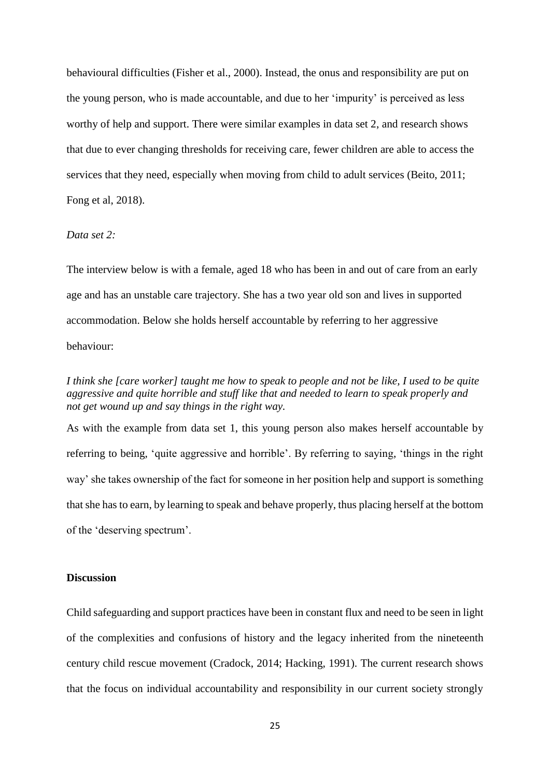behavioural difficulties (Fisher et al., 2000). Instead, the onus and responsibility are put on the young person, who is made accountable, and due to her 'impurity' is perceived as less worthy of help and support. There were similar examples in data set 2, and research shows that due to ever changing thresholds for receiving care, fewer children are able to access the services that they need, especially when moving from child to adult services (Beito, 2011; Fong et al, 2018).

### *Data set 2:*

The interview below is with a female, aged 18 who has been in and out of care from an early age and has an unstable care trajectory. She has a two year old son and lives in supported accommodation. Below she holds herself accountable by referring to her aggressive behaviour:

# *I think she [care worker] taught me how to speak to people and not be like, I used to be quite aggressive and quite horrible and stuff like that and needed to learn to speak properly and not get wound up and say things in the right way.*

As with the example from data set 1, this young person also makes herself accountable by referring to being, 'quite aggressive and horrible'. By referring to saying, 'things in the right way' she takes ownership of the fact for someone in her position help and support is something that she has to earn, by learning to speak and behave properly, thus placing herself at the bottom of the 'deserving spectrum'.

### **Discussion**

Child safeguarding and support practices have been in constant flux and need to be seen in light of the complexities and confusions of history and the legacy inherited from the nineteenth century child rescue movement (Cradock, 2014; Hacking, 1991). The current research shows that the focus on individual accountability and responsibility in our current society strongly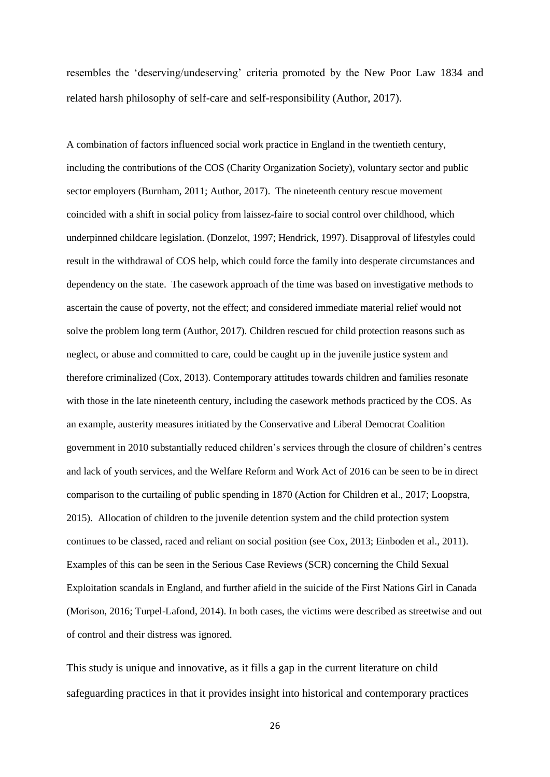resembles the 'deserving/undeserving' criteria promoted by the New Poor Law 1834 and related harsh philosophy of self-care and self-responsibility (Author, 2017).

A combination of factors influenced social work practice in England in the twentieth century, including the contributions of the COS (Charity Organization Society), voluntary sector and public sector employers (Burnham, 2011; Author, 2017). The nineteenth century rescue movement coincided with a shift in social policy from laissez-faire to social control over childhood, which underpinned childcare legislation. (Donzelot, 1997; Hendrick, 1997). Disapproval of lifestyles could result in the withdrawal of COS help, which could force the family into desperate circumstances and dependency on the state. The casework approach of the time was based on investigative methods to ascertain the cause of poverty, not the effect; and considered immediate material relief would not solve the problem long term (Author, 2017). Children rescued for child protection reasons such as neglect, or abuse and committed to care, could be caught up in the juvenile justice system and therefore criminalized (Cox, 2013). Contemporary attitudes towards children and families resonate with those in the late nineteenth century, including the casework methods practiced by the COS. As an example, austerity measures initiated by the Conservative and Liberal Democrat Coalition government in 2010 substantially reduced children's services through the closure of children's centres and lack of youth services, and the Welfare Reform and Work Act of 2016 can be seen to be in direct comparison to the curtailing of public spending in 1870 (Action for Children et al., 2017; Loopstra, 2015). Allocation of children to the juvenile detention system and the child protection system continues to be classed, raced and reliant on social position (see Cox, 2013; Einboden et al., 2011). Examples of this can be seen in the Serious Case Reviews (SCR) concerning the Child Sexual Exploitation scandals in England, and further afield in the suicide of the First Nations Girl in Canada (Morison, 2016; Turpel-Lafond, 2014). In both cases, the victims were described as streetwise and out of control and their distress was ignored.

This study is unique and innovative, as it fills a gap in the current literature on child safeguarding practices in that it provides insight into historical and contemporary practices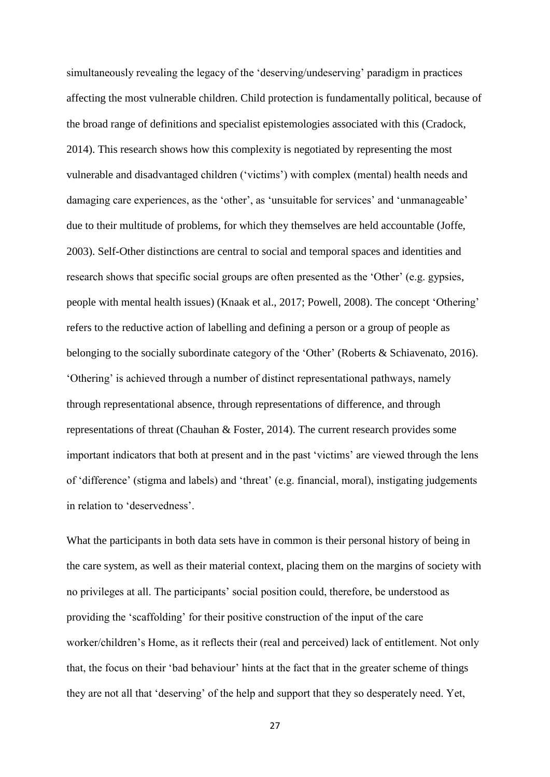simultaneously revealing the legacy of the 'deserving/undeserving' paradigm in practices affecting the most vulnerable children. Child protection is fundamentally political, because of the broad range of definitions and specialist epistemologies associated with this (Cradock, 2014). This research shows how this complexity is negotiated by representing the most vulnerable and disadvantaged children ('victims') with complex (mental) health needs and damaging care experiences, as the 'other', as 'unsuitable for services' and 'unmanageable' due to their multitude of problems, for which they themselves are held accountable (Joffe, 2003). Self-Other distinctions are central to social and temporal spaces and identities and research shows that specific social groups are often presented as the 'Other' (e.g. gypsies, people with mental health issues) (Knaak et al., 2017; Powell, 2008). The concept 'Othering' refers to the reductive action of labelling and defining a person or a group of people as belonging to the socially subordinate category of the 'Other' (Roberts & Schiavenato, 2016). 'Othering' is achieved through a number of distinct representational pathways, namely through representational absence, through representations of difference, and through representations of threat (Chauhan & Foster, 2014). The current research provides some important indicators that both at present and in the past 'victims' are viewed through the lens of 'difference' (stigma and labels) and 'threat' (e.g. financial, moral), instigating judgements in relation to 'deservedness'.

What the participants in both data sets have in common is their personal history of being in the care system, as well as their material context, placing them on the margins of society with no privileges at all. The participants' social position could, therefore, be understood as providing the 'scaffolding' for their positive construction of the input of the care worker/children's Home, as it reflects their (real and perceived) lack of entitlement. Not only that, the focus on their 'bad behaviour' hints at the fact that in the greater scheme of things they are not all that 'deserving' of the help and support that they so desperately need. Yet,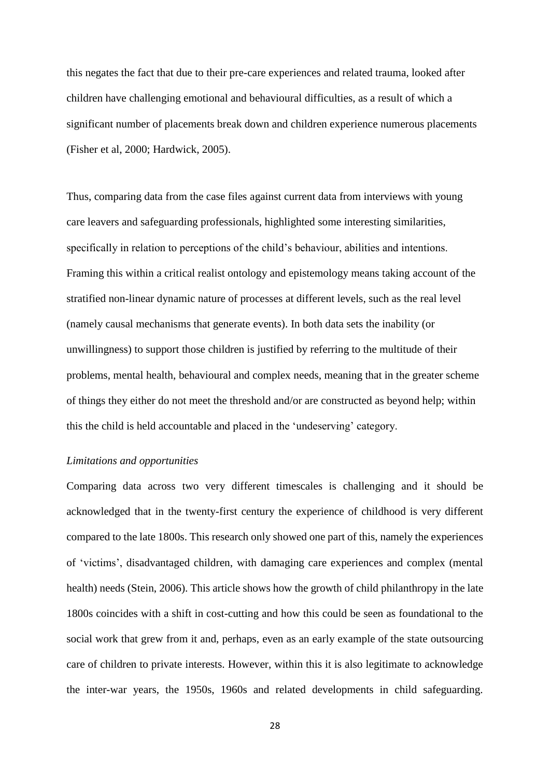this negates the fact that due to their pre-care experiences and related trauma, looked after children have challenging emotional and behavioural difficulties, as a result of which a significant number of placements break down and children experience numerous placements (Fisher et al, 2000; Hardwick, 2005).

Thus, comparing data from the case files against current data from interviews with young care leavers and safeguarding professionals, highlighted some interesting similarities, specifically in relation to perceptions of the child's behaviour, abilities and intentions. Framing this within a critical realist ontology and epistemology means taking account of the stratified non-linear dynamic nature of processes at different levels, such as the real level (namely causal mechanisms that generate events). In both data sets the inability (or unwillingness) to support those children is justified by referring to the multitude of their problems, mental health, behavioural and complex needs, meaning that in the greater scheme of things they either do not meet the threshold and/or are constructed as beyond help; within this the child is held accountable and placed in the 'undeserving' category.

## *Limitations and opportunities*

Comparing data across two very different timescales is challenging and it should be acknowledged that in the twenty-first century the experience of childhood is very different compared to the late 1800s. This research only showed one part of this, namely the experiences of 'victims', disadvantaged children, with damaging care experiences and complex (mental health) needs (Stein, 2006). This article shows how the growth of child philanthropy in the late 1800s coincides with a shift in cost-cutting and how this could be seen as foundational to the social work that grew from it and, perhaps, even as an early example of the state outsourcing care of children to private interests. However, within this it is also legitimate to acknowledge the inter-war years, the 1950s, 1960s and related developments in child safeguarding.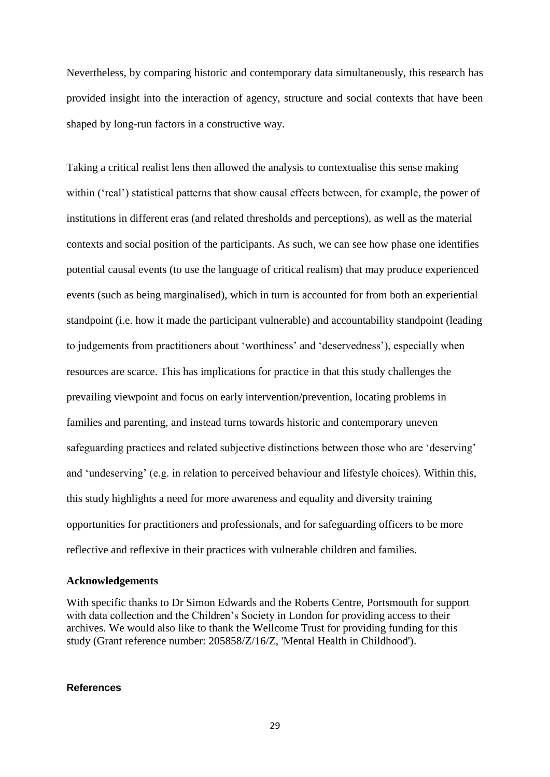Nevertheless, by comparing historic and contemporary data simultaneously, this research has provided insight into the interaction of agency, structure and social contexts that have been shaped by long-run factors in a constructive way.

Taking a critical realist lens then allowed the analysis to contextualise this sense making within ('real') statistical patterns that show causal effects between, for example, the power of institutions in different eras (and related thresholds and perceptions), as well as the material contexts and social position of the participants. As such, we can see how phase one identifies potential causal events (to use the language of critical realism) that may produce experienced events (such as being marginalised), which in turn is accounted for from both an experiential standpoint (i.e. how it made the participant vulnerable) and accountability standpoint (leading to judgements from practitioners about 'worthiness' and 'deservedness'), especially when resources are scarce. This has implications for practice in that this study challenges the prevailing viewpoint and focus on early intervention/prevention, locating problems in families and parenting, and instead turns towards historic and contemporary uneven safeguarding practices and related subjective distinctions between those who are 'deserving' and 'undeserving' (e.g. in relation to perceived behaviour and lifestyle choices). Within this, this study highlights a need for more awareness and equality and diversity training opportunities for practitioners and professionals, and for safeguarding officers to be more reflective and reflexive in their practices with vulnerable children and families.

### **Acknowledgements**

With specific thanks to Dr Simon Edwards and the Roberts Centre, Portsmouth for support with data collection and the Children's Society in London for providing access to their archives. We would also like to thank the Wellcome Trust for providing funding for this study (Grant reference number: 205858/Z/16/Z, 'Mental Health in Childhood').

#### **References**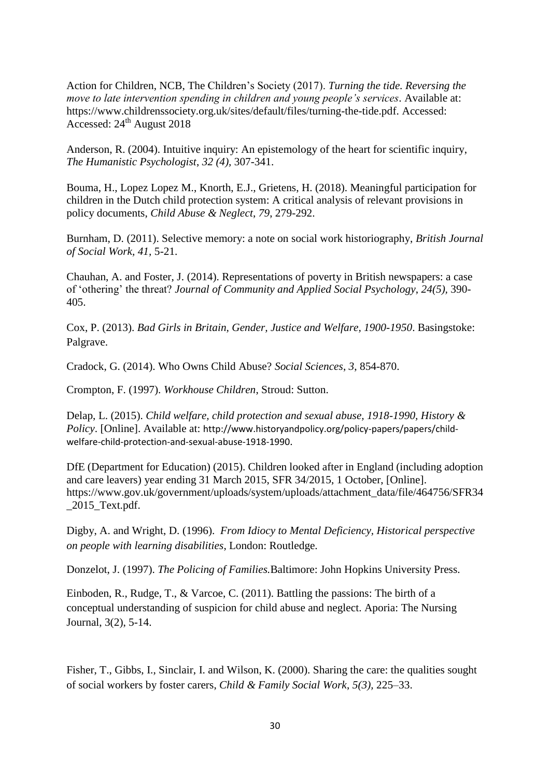Action for Children, NCB, The Children's Society (2017). *Turning the tide. Reversing the move to late intervention spending in children and young people's services*. Available at: [https://www.childrenssociety.org.uk/sites/default/files/turning-the-tide.pdf.](https://www.childrenssociety.org.uk/sites/default/files/turning-the-tide.pdf) Accessed: Accessed: 24<sup>th</sup> August 2018

Anderson, R. (2004). Intuitive inquiry: An epistemology of the heart for scientific inquiry, *The Humanistic Psychologist*, *32 (4),* 307-341.

Bouma, H., Lopez Lopez M., Knorth, E.J., Grietens, H. (2018). Meaningful participation for children in the Dutch child protection system: A critical analysis of relevant provisions in policy documents, *Child Abuse & Neglect*, *79*, 279-292.

Burnham, D. (2011). Selective memory: a note on social work historiography, *British Journal of Social Work, 41,* 5-21.

Chauhan, A. and Foster, J. (2014). Representations of poverty in British newspapers: a case of 'othering' the threat? *Journal of Community and Applied Social Psychology*, *24(5),* 390- 405.

Cox, P. (2013). *Bad Girls in Britain, Gender, Justice and Welfare, 1900-1950*. Basingstoke: Palgrave.

Cradock, G. (2014). Who Owns Child Abuse? *Social Sciences*, *3*, 854-870.

Crompton, F. (1997). *Workhouse Children*, Stroud: Sutton.

Delap, L. (2015). *Child welfare, child protection and sexual abuse, 1918-1990, History & Policy*. [Online]. Available at: [http://www.historyandpolicy.org/policy-papers/papers/child](http://www.historyandpolicy.org/policy-papers/papers/child-welfare-child-protection-and-sexual-abuse-1918-1990)[welfare-child-protection-and-sexual-abuse-1918-1990](http://www.historyandpolicy.org/policy-papers/papers/child-welfare-child-protection-and-sexual-abuse-1918-1990).

DfE (Department for Education) (2015). Children looked after in England (including adoption and care leavers) year ending 31 March 2015, SFR 34/2015, 1 October, [Online]. [https://www.gov.uk/government/uploads/system/uploads/attachment\\_data/file/464756/SFR34](https://www.gov.uk/government/uploads/system/uploads/attachment_data/file/464756/SFR34_2015_Text.pdf) [\\_2015\\_Text.pdf.](https://www.gov.uk/government/uploads/system/uploads/attachment_data/file/464756/SFR34_2015_Text.pdf)

Digby, A. and Wright, D. (1996). *From Idiocy to Mental Deficiency, Historical perspective on people with learning disabilities*, London: Routledge.

Donzelot, J. (1997). *The Policing of Families.*Baltimore: John Hopkins University Press.

Einboden, R., Rudge, T., & Varcoe, C. (2011). Battling the passions: The birth of a conceptual understanding of suspicion for child abuse and neglect. Aporia: The Nursing Journal, 3(2), 5-14.

Fisher, T., Gibbs, I., Sinclair, I. and Wilson, K. (2000). Sharing the care: the qualities sought of social workers by foster carers, *Child & Family Social Work*, *5(3),* 225–33.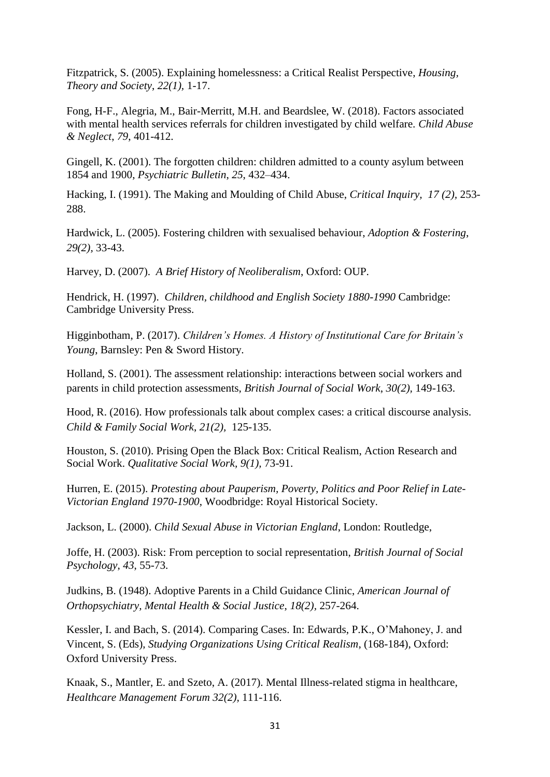Fitzpatrick, S. (2005). Explaining homelessness: a Critical Realist Perspective, *Housing, Theory and Society*, *22(1),* 1-17.

Fong, H-F., Alegria, M., Bair-Merritt, M.H. and Beardslee, W. (2018). Factors associated with mental health services referrals for children investigated by child welfare. *Child Abuse & Neglect*, *79*, 401-412.

Gingell, K. (2001). The forgotten children: children admitted to a county asylum between 1854 and 1900, *Psychiatric Bulletin*, *25*, 432–434.

Hacking, I. (1991). The Making and Moulding of Child Abuse, *[Critical Inquiry,](https://philpapers.org/asearch.pl?pub=256) 17 (2),* 253- 288.

Hardwick, L. (2005). Fostering children with sexualised behaviour, *Adoption & Fostering*, *29(2),* 33-43.

Harvey, D. (2007). *A Brief History of Neoliberalism*, Oxford: OUP.

Hendrick, H. (1997). *Children, childhood and English Society 1880-1990* Cambridge: Cambridge University Press.

Higginbotham, P. (2017). *Children's Homes. A History of Institutional Care for Britain's Young*, Barnsley: Pen & Sword History.

Holland, S. (2001). The assessment relationship: interactions between social workers and parents in child protection assessments, *British Journal of Social Work*, *30(2),* 149-163.

Hood, R. (2016). How professionals talk about complex cases: a critical discourse analysis. *Child & Family Social Work*, *21(2),* 125-135.

Houston, S. (2010). Prising Open the Black Box: Critical Realism, Action Research and Social Work. *Qualitative Social Work, 9(1),* 73-91.

Hurren, E. (2015). *Protesting about Pauperism, Poverty, Politics and Poor Relief in Late-Victorian England 1970-1900*, Woodbridge: Royal Historical Society.

Jackson, L. (2000). *Child Sexual Abuse in Victorian England*, London: Routledge,

Joffe, H. (2003). Risk: From perception to social representation, *British Journal of Social Psychology*, *43*, 55-73.

Judkins, B. (1948). Adoptive Parents in a Child Guidance Clinic, *American Journal of Orthopsychiatry, Mental Health & Social Justice*, *18(2),* 257-264.

Kessler, I. and Bach, S. (2014). Comparing Cases. In: Edwards, P.K., O'Mahoney, J. and Vincent, S. (Eds), *Studying Organizations Using Critical Realism*, (168-184), Oxford: Oxford University Press.

Knaak, S., Mantler, E. and Szeto, A. (2017). Mental Illness-related stigma in healthcare, *Healthcare Management Forum 32(2),* 111-116.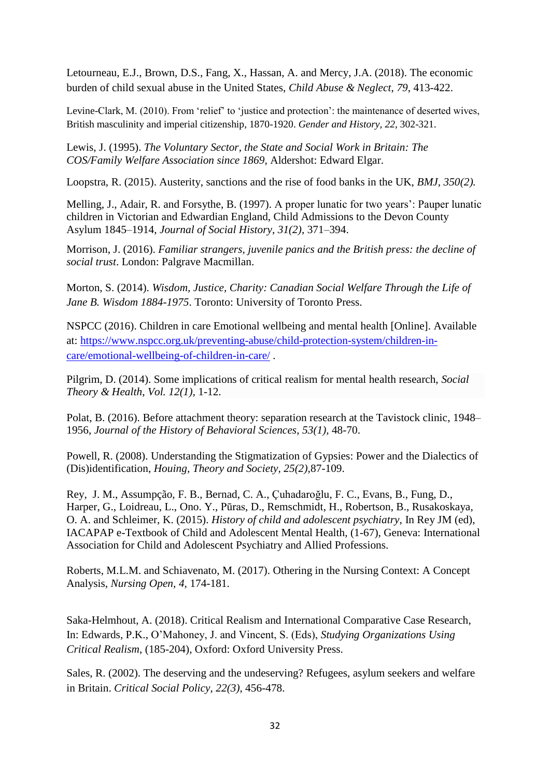Letourneau, E.J., Brown, D.S., Fang, X., Hassan, A. and Mercy, J.A. (2018). The economic burden of child sexual abuse in the United States, *Child Abuse & Neglect*, *79*, 413-422.

Levine-Clark, M. (2010). From 'relief' to 'justice and protection': the maintenance of deserted wives, British masculinity and imperial citizenship, 1870-1920. *Gender and History, 22*, 302-321.

Lewis, J. (1995). *The Voluntary Sector, the State and Social Work in Britain: The COS/Family Welfare Association since 1869*, Aldershot: Edward Elgar.

Loopstra, R. (2015). Austerity, sanctions and the rise of food banks in the UK, *BMJ, 350(2).*

Melling, J., Adair, R. and Forsythe, B. (1997). A proper lunatic for two years': Pauper lunatic children in Victorian and Edwardian England, Child Admissions to the Devon County Asylum 1845–1914, *Journal of Social History*, *31(2)*, 371–394.

Morrison, J. (2016). *Familiar strangers, juvenile panics and the British press: the decline of social trust*. London: Palgrave Macmillan.

Morton, S. (2014). *Wisdom, Justice, Charity: Canadian Social Welfare Through the Life of Jane B. Wisdom 1884-1975*. Toronto: University of Toronto Press.

NSPCC (2016). Children in care Emotional wellbeing and mental health [Online]. Available at: [https://www.nspcc.org.uk/preventing-abuse/child-protection-system/children-in](https://www.nspcc.org.uk/preventing-abuse/child-protection-system/children-in-care/emotional-wellbeing-of-children-in-care/)[care/emotional-wellbeing-of-children-in-care/](https://www.nspcc.org.uk/preventing-abuse/child-protection-system/children-in-care/emotional-wellbeing-of-children-in-care/) .

Pilgrim, D. (2014). Some implications of critical realism for mental health research, *Social Theory & Health*, *Vol. 12(1),* 1-12.

Polat, B. (2016). Before attachment theory: separation research at the Tavistock clinic, 1948– 1956, *Journal of the History of Behavioral Sciences*, *53(1),* 48-70.

Powell, R. (2008). Understanding the Stigmatization of Gypsies: Power and the Dialectics of (Dis)identification, *Houing, Theory and Society, 25(2),*87-109.

Rey, J. M., Assumpção, F. B., Bernad, C. A., Çuhadaroğlu, F. C., Evans, B., Fung, D., Harper, G., Loidreau, L., Ono. Y., Pūras, D., Remschmidt, H., Robertson, B., Rusakoskaya, O. A. and Schleimer, K. (2015). *History of child and adolescent psychiatry*, In Rey JM (ed), IACAPAP e-Textbook of Child and Adolescent Mental Health, (1-67), Geneva: International Association for Child and Adolescent Psychiatry and Allied Professions.

Roberts, M.L.M. and Schiavenato, M. (2017). Othering in the Nursing Context: A Concept Analysis, *Nursing Open, 4,* 174-181.

Saka-Helmhout, A. (2018). Critical Realism and International Comparative Case Research, In: Edwards, P.K., O'Mahoney, J. and Vincent, S. (Eds), *Studying Organizations Using Critical Realism*, (185-204), Oxford: Oxford University Press.

Sales, R. (2002). The deserving and the undeserving? Refugees, asylum seekers and welfare in Britain. *Critical Social Policy*, *22(3)*, 456-478.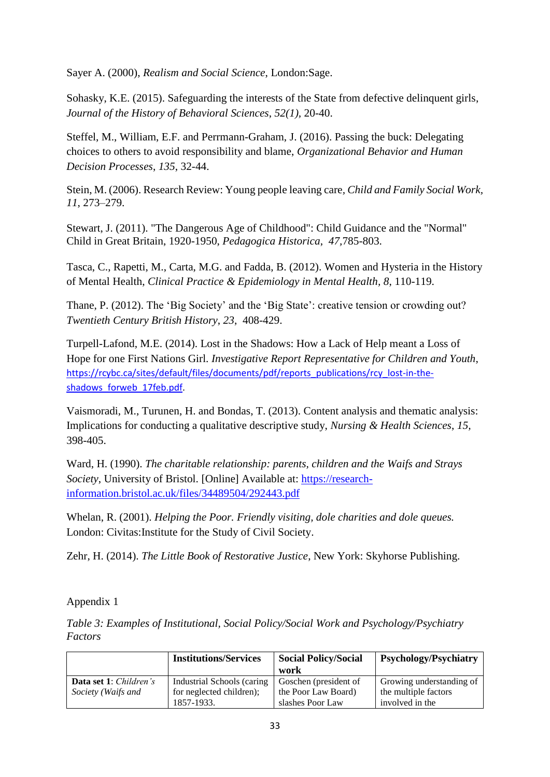Sayer A. (2000), *Realism and Social Science*, London:Sage.

Sohasky, K.E. (2015). Safeguarding the interests of the State from defective delinquent girls, *Journal of the History of Behavioral Sciences*, *52(1),* 20-40.

Steffel, M., William, E.F. and Perrmann-Graham, J. (2016). Passing the buck: Delegating choices to others to avoid responsibility and blame, *Organizational Behavior and Human Decision Processes*, *135*, 32-44.

Stein, M. (2006). Research Review: Young people leaving care*, Child and Family Social Work, 11*, 273–279.

Stewart, J. (2011). "The Dangerous Age of Childhood": Child Guidance and the "Normal" Child in Great Britain, 1920-1950, *Pedagogica Historica*, *47,*785-803.

Tasca, C., Rapetti, M., Carta, M.G. and Fadda, B. (2012). Women and Hysteria in the History of Mental Health, *Clinical Practice & Epidemiology in Mental Health, 8*, 110-119.

Thane, P. (2012). The 'Big Society' and the 'Big State': creative tension or crowding out? *Twentieth Century British History*, *23*, 408-429.

Turpell-Lafond, M.E. (2014). Lost in the Shadows: How a Lack of Help meant a Loss of Hope for one First Nations Girl. *Investigative Report Representative for Children and Youth*, [https://rcybc.ca/sites/default/files/documents/pdf/reports\\_publications/rcy\\_lost-in-the](https://rcybc.ca/sites/default/files/documents/pdf/reports_publications/rcy_lost-in-the-shadows_forweb_17feb.pdf)[shadows\\_forweb\\_17feb.pdf.](https://rcybc.ca/sites/default/files/documents/pdf/reports_publications/rcy_lost-in-the-shadows_forweb_17feb.pdf)

Vaismoradi, M., Turunen, H. and Bondas, T. (2013). Content analysis and thematic analysis: Implications for conducting a qualitative descriptive study, *Nursing & Health Sciences*, *15,* 398-405.

Ward, H. (1990). *The charitable relationship: parents, children and the Waifs and Strays Society*, University of Bristol. [Online] Available at: [https://research](https://research-information.bristol.ac.uk/files/34489504/292443.pdf)[information.bristol.ac.uk/files/34489504/292443.pdf](https://research-information.bristol.ac.uk/files/34489504/292443.pdf)

Whelan, R. (2001). *Helping the Poor. Friendly visiting, dole charities and dole queues.* London: Civitas:Institute for the Study of Civil Society.

Zehr, H. (2014). *The Little Book of Restorative Justice*, New York: Skyhorse Publishing.

Appendix 1

*Table 3: Examples of Institutional, Social Policy/Social Work and Psychology/Psychiatry Factors*

|                               | <b>Institutions/Services</b> | <b>Social Policy/Social</b> | <b>Psychology/Psychiatry</b> |
|-------------------------------|------------------------------|-----------------------------|------------------------------|
|                               |                              | work                        |                              |
| <b>Data set 1:</b> Children's | Industrial Schools (caring)  | Goschen (president of       | Growing understanding of     |
| Society (Waifs and            | for neglected children);     | the Poor Law Board)         | the multiple factors         |
|                               | 1857-1933.                   | slashes Poor Law            | involved in the              |